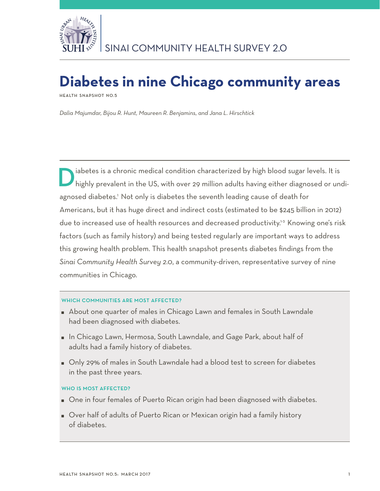

# **Diabetes in nine Chicago community areas**

**Health Snapshot No.5**

*Dalia Majumdar, Bijou R. Hunt, Maureen R. Benjamins, and Jana L. Hirschtick* 

**D** iabetes is a chronic medical condition characterized by high blood sugar levels. It is highly prevalent in the US, with over 29 million adults having either diagnosed or undiagnosed diabetes.<sup>1</sup> Not only is diabetes the seventh leading cause of death for Americans, but it has huge direct and indirect costs (estimated to be \$245 billion in 2012) due to increased use of health resources and decreased productivity.<sup>1-3</sup> Knowing one's risk factors (such as family history) and being tested regularly are important ways to address this growing health problem. This health snapshot presents diabetes findings from the *Sinai Community Health Survey 2.0*, a community-driven, representative survey of nine communities in Chicago.

# WHICH COMMUNITIES ARE MOST AFFECTED?

- About one quarter of males in Chicago Lawn and females in South Lawndale had been diagnosed with diabetes.
- In Chicago Lawn, Hermosa, South Lawndale, and Gage Park, about half of adults had a family history of diabetes.
- Only 29% of males in South Lawndale had a blood test to screen for diabetes in the past three years.

## WHO IS MOST AFFECTED?

- One in four females of Puerto Rican origin had been diagnosed with diabetes.
- Over half of adults of Puerto Rican or Mexican origin had a family history of diabetes.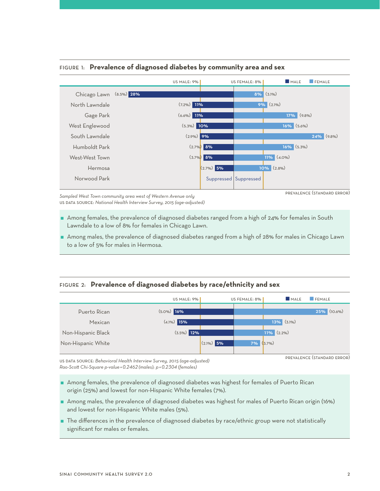

## Figure 1: **Prevalence of diagnosed diabetes by community area and sex**

prevalence (standard error)

*Sampled West Town community area west of Western Avenue only* us data source: *National Health Interview Survey, 2015 (age-adjusted)* 

- Among females, the prevalence of diagnosed diabetes ranged from a high of 24% for females in South Lawndale to a low of 8% for females in Chicago Lawn.
- Among males, the prevalence of diagnosed diabetes ranged from a high of 28% for males in Chicago Lawn to a low of 5% for males in Hermosa.

# Figure 2: **Prevalence of diagnosed diabetes by race/ethnicity and sex**

|                    | US MALE: 9%      |              | US FEMALE: 8% |               | MALE | <b>FEMALE</b>     |
|--------------------|------------------|--------------|---------------|---------------|------|-------------------|
| Puerto Rican       | $(5.0\%)$ 16%    |              |               |               |      | $(10.6\%)$<br>25% |
| Mexican            | 15%<br>$(4.1\%)$ |              |               | $13\%$ (3.1%) |      |                   |
| Non-Hispanic Black | $(3.5\%)$ 12%    |              |               | $11\%$ (2.2%) |      |                   |
| Non-Hispanic White |                  | $(2.1\%)$ 5% | 7%            | $(3.7\%)$     |      |                   |
|                    |                  |              |               |               |      |                   |

us data source: *Behavioral Health Interview Survey, 2015 (age-adjusted) Rao-Scott Chi-Square p-value =0.2462 (males); p =0.2304 (females)*

prevalence (standard error)

- Among females, the prevalence of diagnosed diabetes was highest for females of Puerto Rican origin (25%) and lowest for non-Hispanic White females (7%).
- Among males, the prevalence of diagnosed diabetes was highest for males of Puerto Rican origin (16%) and lowest for non-Hispanic White males (5%).
- The differences in the prevalence of diagnosed diabetes by race/ethnic group were not statistically significant for males or females.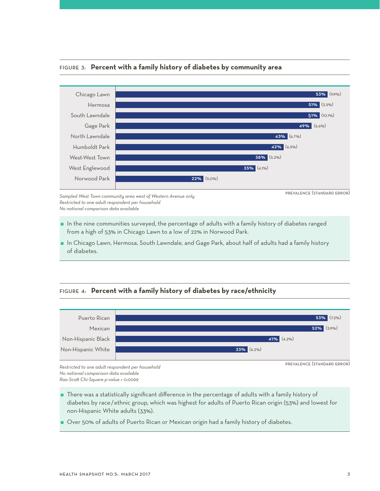

# Figure 3: **Percent with a family history of diabetes by community area**

*Sampled West Town community area west of Western Avenue only Restricted to one adult respondent per household No national comparison data available*

- $\blacksquare$  In the nine communities surveyed, the percentage of adults with a family history of diabetes ranged from a high of 53% in Chicago Lawn to a low of 22% in Norwood Park.
- In Chicago Lawn, Hermosa, South Lawndale, and Gage Park, about half of adults had a family history of diabetes.

# Figure 4: **Percent with a family history of diabetes by race/ethnicity**



*Restricted to one adult respondent per household No national comparison data available Rao-Scott Chi-Square p-value = 0.0099*

- There was a statistically significant difference in the percentage of adults with a family history of diabetes by race/ethnic group, which was highest for adults of Puerto Rican origin (53%) and lowest for non-Hispanic White adults (33%).
- Over 50% of adults of Puerto Rican or Mexican origin had a family history of diabetes.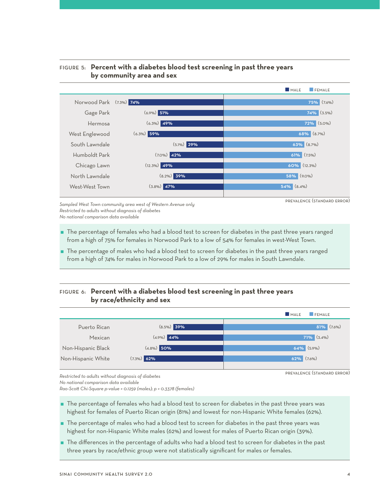

# Figure 5: **Percent with a diabetes blood test screening in past three years by community area and sex**

*Sampled West Town community area west of Western Avenue only Restricted to adults without diagnosis of diabetes No national comparison data available*

- The percentage of females who had a blood test to screen for diabetes in the past three years ranged from a high of 75% for females in Norwood Park to a low of 54% for females in west-West Town.
- The percentage of males who had a blood test to screen for diabetes in the past three years ranged from a high of 74% for males in Norwood Park to a low of 29% for males in South Lawndale.

# Figure 6: **Percent with a diabetes blood test screening in past three years by race/ethnicity and sex**



prevalence (standard error)

*Restricted to adults without diagnosis of diabetes*

*No national comparison data available*

*Rao-Scott Chi-Square p-value = 0.1259 (males); p = 0.3378 (females)* 

- The percentage of females who had a blood test to screen for diabetes in the past three years was highest for females of Puerto Rican origin (81%) and lowest for non-Hispanic White females (62%).
- The percentage of males who had a blood test to screen for diabetes in the past three years was highest for non-Hispanic White males (62%) and lowest for males of Puerto Rican origin (39%).
- The differences in the percentage of adults who had a blood test to screen for diabetes in the past three years by race/ethnic group were not statistically significant for males or females.